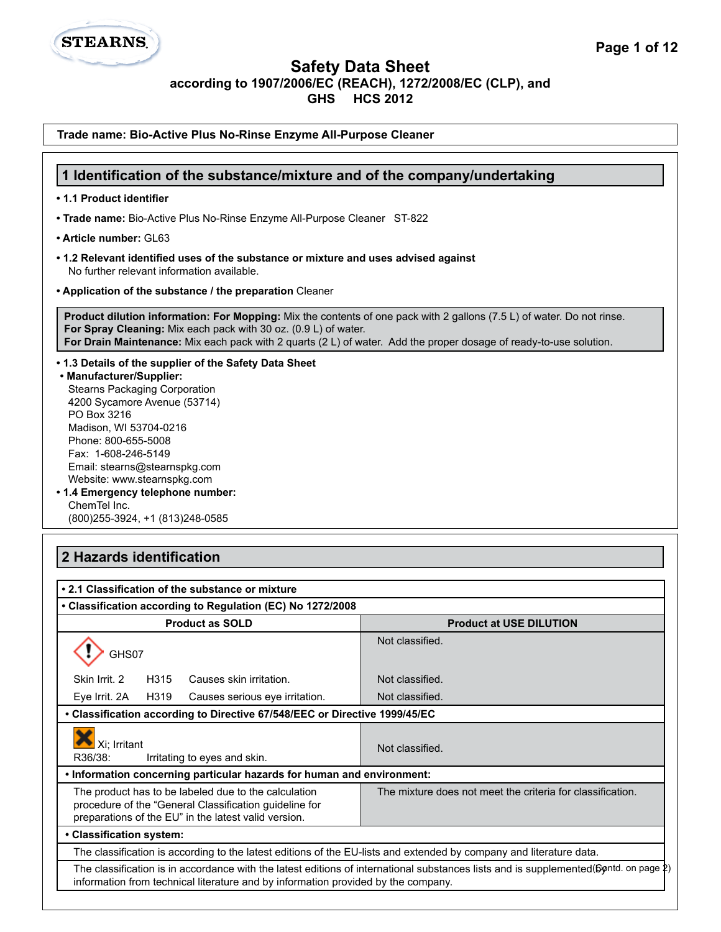

**Trade name: Bio-Active Plus No-Rinse Enzyme All-Purpose Cleaner**

**STEARNS** 

| 1 Identification of the substance/mixture and of the company/undertaking                                                                                                                                                                                                                                                                                                                                    |                                                                                                                                      |  |
|-------------------------------------------------------------------------------------------------------------------------------------------------------------------------------------------------------------------------------------------------------------------------------------------------------------------------------------------------------------------------------------------------------------|--------------------------------------------------------------------------------------------------------------------------------------|--|
| • 1.1 Product identifier                                                                                                                                                                                                                                                                                                                                                                                    |                                                                                                                                      |  |
| . Trade name: Bio-Active Plus No-Rinse Enzyme All-Purpose Cleaner ST-822                                                                                                                                                                                                                                                                                                                                    |                                                                                                                                      |  |
| • Article number: GL63                                                                                                                                                                                                                                                                                                                                                                                      |                                                                                                                                      |  |
| • 1.2 Relevant identified uses of the substance or mixture and uses advised against<br>No further relevant information available.                                                                                                                                                                                                                                                                           |                                                                                                                                      |  |
| • Application of the substance / the preparation Cleaner                                                                                                                                                                                                                                                                                                                                                    |                                                                                                                                      |  |
| <b>Product dilution information: For Mopping:</b> Mix the contents of one pack with 2 gallons (7.5 L) of water. Do not rinse.<br>For Spray Cleaning: Mix each pack with 30 oz. (0.9 L) of water.<br>For Drain Maintenance: Mix each pack with 2 quarts (2 L) of water. Add the proper dosage of ready-to-use solution.                                                                                      |                                                                                                                                      |  |
| • 1.3 Details of the supplier of the Safety Data Sheet<br>• Manufacturer/Supplier:<br><b>Stearns Packaging Corporation</b><br>4200 Sycamore Avenue (53714)<br>PO Box 3216<br>Madison, WI 53704-0216<br>Phone: 800-655-5008<br>Fax: 1-608-246-5149<br>Email: stearns@stearnspkg.com<br>Website: www.stearnspkg.com<br>• 1.4 Emergency telephone number:<br>ChemTel Inc.<br>(800) 255-3924, +1 (813) 248-0585 |                                                                                                                                      |  |
| 2 Hazards identification<br>• 2.1 Classification of the substance or mixture                                                                                                                                                                                                                                                                                                                                |                                                                                                                                      |  |
| • Classification according to Regulation (EC) No 1272/2008                                                                                                                                                                                                                                                                                                                                                  |                                                                                                                                      |  |
| <b>Product as SOLD</b>                                                                                                                                                                                                                                                                                                                                                                                      | <b>Product at USE DILUTION</b>                                                                                                       |  |
| GHS07                                                                                                                                                                                                                                                                                                                                                                                                       | Not classified.                                                                                                                      |  |
| Skin Irrit. 2<br>H315<br>Causes skin irritation.                                                                                                                                                                                                                                                                                                                                                            | Not classified.                                                                                                                      |  |
| H319<br>Eye Irrit. 2A<br>Causes serious eye irritation.                                                                                                                                                                                                                                                                                                                                                     | Not classified.                                                                                                                      |  |
| • Classification according to Directive 67/548/EEC or Directive 1999/45/EC                                                                                                                                                                                                                                                                                                                                  |                                                                                                                                      |  |
|                                                                                                                                                                                                                                                                                                                                                                                                             | Not classified.                                                                                                                      |  |
| Xi; Irritant<br>R36/38:<br>Irritating to eyes and skin.                                                                                                                                                                                                                                                                                                                                                     |                                                                                                                                      |  |
| . Information concerning particular hazards for human and environment:                                                                                                                                                                                                                                                                                                                                      |                                                                                                                                      |  |
| The product has to be labeled due to the calculation<br>procedure of the "General Classification guideline for<br>preparations of the EU" in the latest valid version.                                                                                                                                                                                                                                      | The mixture does not meet the criteria for classification.                                                                           |  |
| • Classification system:                                                                                                                                                                                                                                                                                                                                                                                    |                                                                                                                                      |  |
| The classification is according to the latest editions of the EU-lists and extended by company and literature data.                                                                                                                                                                                                                                                                                         |                                                                                                                                      |  |
| information from technical literature and by information provided by the company.                                                                                                                                                                                                                                                                                                                           | The classification is in accordance with the latest editions of international substances lists and is supplemented(69ntd. on page 2) |  |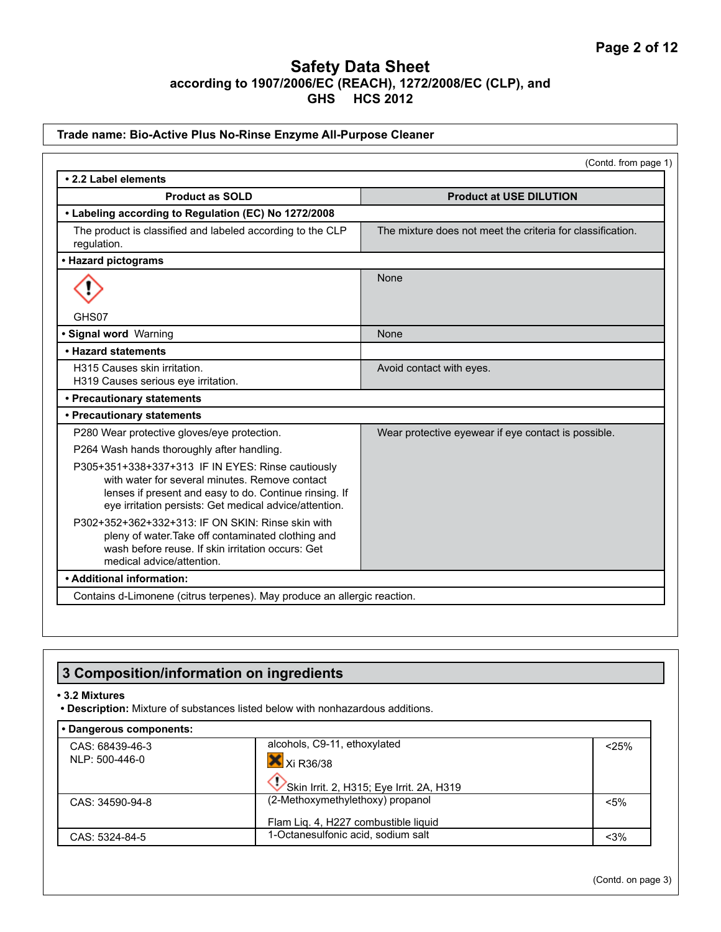|                                                                                                                                                                                                                         | (Contd. from page 1)                                       |
|-------------------------------------------------------------------------------------------------------------------------------------------------------------------------------------------------------------------------|------------------------------------------------------------|
| • 2.2 Label elements                                                                                                                                                                                                    |                                                            |
| <b>Product as SOLD</b>                                                                                                                                                                                                  | <b>Product at USE DILUTION</b>                             |
| • Labeling according to Regulation (EC) No 1272/2008                                                                                                                                                                    |                                                            |
| The product is classified and labeled according to the CLP<br>regulation.                                                                                                                                               | The mixture does not meet the criteria for classification. |
| • Hazard pictograms                                                                                                                                                                                                     |                                                            |
|                                                                                                                                                                                                                         | None                                                       |
| GHS07                                                                                                                                                                                                                   |                                                            |
| · Signal word Warning                                                                                                                                                                                                   | None                                                       |
| • Hazard statements                                                                                                                                                                                                     |                                                            |
| H315 Causes skin irritation.<br>H319 Causes serious eye irritation.                                                                                                                                                     | Avoid contact with eyes.                                   |
| • Precautionary statements                                                                                                                                                                                              |                                                            |
| • Precautionary statements                                                                                                                                                                                              |                                                            |
| P280 Wear protective gloves/eye protection.                                                                                                                                                                             | Wear protective eyewear if eye contact is possible.        |
| P264 Wash hands thoroughly after handling.                                                                                                                                                                              |                                                            |
| P305+351+338+337+313 IF IN EYES: Rinse cautiously<br>with water for several minutes. Remove contact<br>lenses if present and easy to do. Continue rinsing. If<br>eye irritation persists: Get medical advice/attention. |                                                            |
| P302+352+362+332+313: IF ON SKIN: Rinse skin with<br>pleny of water. Take off contaminated clothing and<br>wash before reuse. If skin irritation occurs: Get<br>medical advice/attention.                               |                                                            |
| • Additional information:                                                                                                                                                                                               |                                                            |

# **3 Composition/information on ingredients**

#### **• 3.2 Mixtures**

**• Description:** Mixture of substances listed below with nonhazardous additions.

| • Dangerous components: |                                          |         |
|-------------------------|------------------------------------------|---------|
| CAS: 68439-46-3         | alcohols, C9-11, ethoxylated             | < 25%   |
| NLP: 500-446-0          | Xi R36/38                                |         |
|                         | Skin Irrit. 2, H315; Eye Irrit. 2A, H319 |         |
| CAS: 34590-94-8         | (2-Methoxymethylethoxy) propanol         | $< 5\%$ |
|                         | Flam Lig. 4, H227 combustible liquid     |         |
| CAS: 5324-84-5          | 1-Octanesulfonic acid, sodium salt       | $<$ 3%  |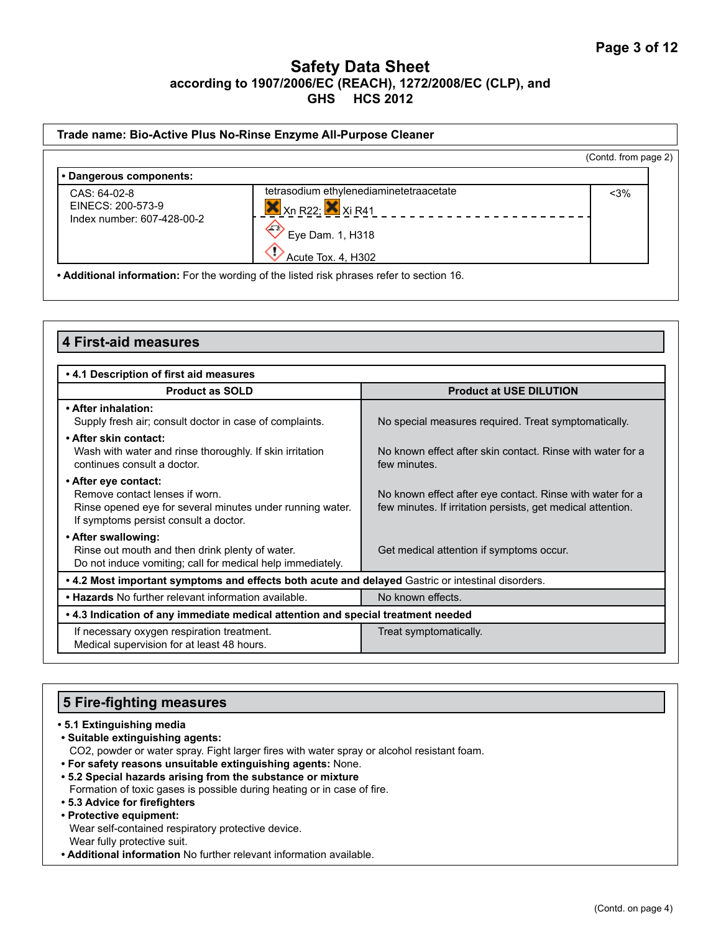|                                   |                                                                                                                  | (Contd. from page 2) |
|-----------------------------------|------------------------------------------------------------------------------------------------------------------|----------------------|
| • Dangerous components:           |                                                                                                                  |                      |
| CAS: 64-02-8<br>EINECS: 200-573-9 | tetrasodium ethylenediaminetetraacetate<br>$X$ <sub>Xn</sub> R <sub>22</sub> ; $X$ <sub>Xi</sub> R <sub>41</sub> | $<$ 3%               |
| Index number: 607-428-00-2        | $\sqrt{2}$<br>Eye Dam. 1, H318                                                                                   |                      |
|                                   | Acute Tox. 4, H302                                                                                               |                      |

| <b>4 First-aid measures</b>                                                                                                                                  |                                                                                                                          |  |  |
|--------------------------------------------------------------------------------------------------------------------------------------------------------------|--------------------------------------------------------------------------------------------------------------------------|--|--|
|                                                                                                                                                              |                                                                                                                          |  |  |
| .4.1 Description of first aid measures                                                                                                                       |                                                                                                                          |  |  |
| <b>Product as SOLD</b>                                                                                                                                       | <b>Product at USE DILUTION</b>                                                                                           |  |  |
| • After inhalation:<br>Supply fresh air; consult doctor in case of complaints.                                                                               | No special measures required. Treat symptomatically.                                                                     |  |  |
| • After skin contact:<br>Wash with water and rinse thoroughly. If skin irritation<br>continues consult a doctor.                                             | No known effect after skin contact. Rinse with water for a<br>few minutes.                                               |  |  |
| • After eye contact:<br>Remove contact lenses if worn.<br>Rinse opened eye for several minutes under running water.<br>If symptoms persist consult a doctor. | No known effect after eye contact. Rinse with water for a<br>few minutes. If irritation persists, get medical attention. |  |  |
| • After swallowing:<br>Rinse out mouth and then drink plenty of water.<br>Do not induce vomiting; call for medical help immediately.                         | Get medical attention if symptoms occur.                                                                                 |  |  |
| . 4.2 Most important symptoms and effects both acute and delayed Gastric or intestinal disorders.                                                            |                                                                                                                          |  |  |
| . Hazards No further relevant information available.                                                                                                         | No known effects.                                                                                                        |  |  |
| • 4.3 Indication of any immediate medical attention and special treatment needed                                                                             |                                                                                                                          |  |  |
| If necessary oxygen respiration treatment.<br>Medical supervision for at least 48 hours.                                                                     | Treat symptomatically.                                                                                                   |  |  |

# **5 Fire-fighting measures**

#### **• 5.1 Extinguishing media**

**• Suitable extinguishing agents:**

CO2, powder or water spray. Fight larger fires with water spray or alcohol resistant foam.

- **For safety reasons unsuitable extinguishing agents:** None.
- **5.2 Special hazards arising from the substance or mixture** Formation of toxic gases is possible during heating or in case of fire.
- **5.3 Advice for firefighters**

#### **• Protective equipment:**

Wear self-contained respiratory protective device. Wear fully protective suit.

**• Additional information** No further relevant information available.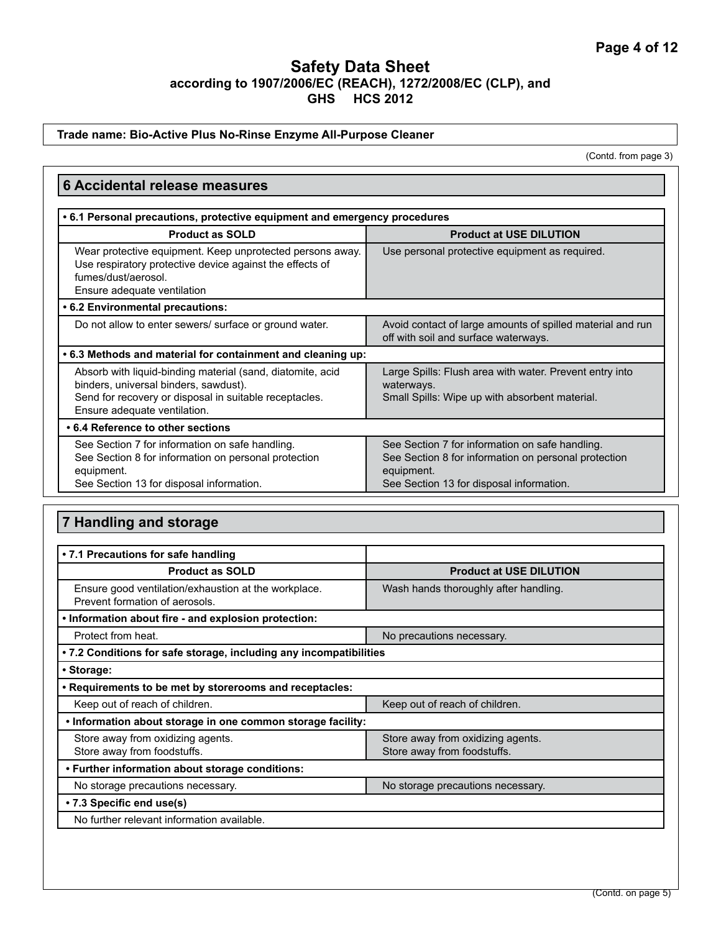#### **Trade name: Bio-Active Plus No-Rinse Enzyme All-Purpose Cleaner**

(Contd. from page 3)

| <b>6 Accidental release measures</b>                                                                                                                                                          |                                                                                                                                                                   |  |  |
|-----------------------------------------------------------------------------------------------------------------------------------------------------------------------------------------------|-------------------------------------------------------------------------------------------------------------------------------------------------------------------|--|--|
| .6.1 Personal precautions, protective equipment and emergency procedures                                                                                                                      |                                                                                                                                                                   |  |  |
| <b>Product as SOLD</b>                                                                                                                                                                        | <b>Product at USE DILUTION</b>                                                                                                                                    |  |  |
| Wear protective equipment. Keep unprotected persons away.<br>Use respiratory protective device against the effects of<br>fumes/dust/aerosol.<br>Ensure adequate ventilation                   | Use personal protective equipment as required.                                                                                                                    |  |  |
| • 6.2 Environmental precautions:                                                                                                                                                              |                                                                                                                                                                   |  |  |
| Do not allow to enter sewers/ surface or ground water.                                                                                                                                        | Avoid contact of large amounts of spilled material and run<br>off with soil and surface waterways.                                                                |  |  |
| .6.3 Methods and material for containment and cleaning up:                                                                                                                                    |                                                                                                                                                                   |  |  |
| Absorb with liquid-binding material (sand, diatomite, acid<br>binders, universal binders, sawdust).<br>Send for recovery or disposal in suitable receptacles.<br>Ensure adequate ventilation. | Large Spills: Flush area with water. Prevent entry into<br>waterways.<br>Small Spills: Wipe up with absorbent material.                                           |  |  |
| • 6.4 Reference to other sections                                                                                                                                                             |                                                                                                                                                                   |  |  |
| See Section 7 for information on safe handling.<br>See Section 8 for information on personal protection<br>equipment.<br>See Section 13 for disposal information.                             | See Section 7 for information on safe handling.<br>See Section 8 for information on personal protection<br>equipment.<br>See Section 13 for disposal information. |  |  |

# **7 Handling and storage**

| • 7.1 Precautions for safe handling                                                    |                                                                  |
|----------------------------------------------------------------------------------------|------------------------------------------------------------------|
| <b>Product as SOLD</b>                                                                 | <b>Product at USE DILUTION</b>                                   |
| Ensure good ventilation/exhaustion at the workplace.<br>Prevent formation of aerosols. | Wash hands thoroughly after handling.                            |
| . Information about fire - and explosion protection:                                   |                                                                  |
| Protect from heat.                                                                     | No precautions necessary.                                        |
| • 7.2 Conditions for safe storage, including any incompatibilities                     |                                                                  |
| • Storage:                                                                             |                                                                  |
| . Requirements to be met by storerooms and receptacles:                                |                                                                  |
| Keep out of reach of children.<br>Keep out of reach of children.                       |                                                                  |
| . Information about storage in one common storage facility:                            |                                                                  |
| Store away from oxidizing agents.<br>Store away from foodstuffs.                       | Store away from oxidizing agents.<br>Store away from foodstuffs. |
| • Further information about storage conditions:                                        |                                                                  |
| No storage precautions necessary.<br>No storage precautions necessary.                 |                                                                  |
| • 7.3 Specific end use(s)                                                              |                                                                  |
| No further relevant information available.                                             |                                                                  |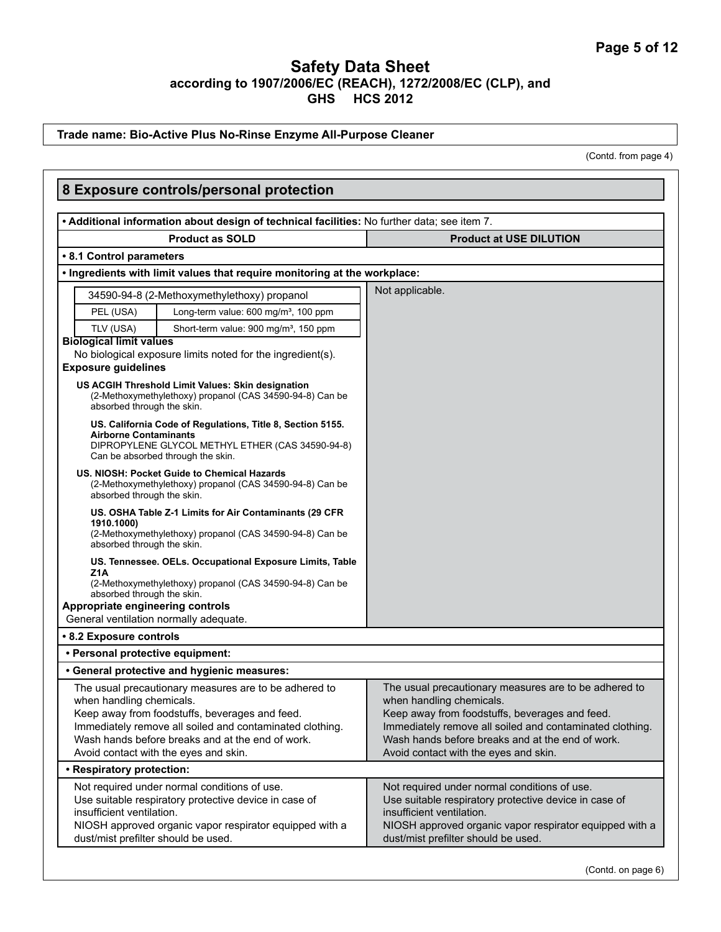#### **Trade name: Bio-Active Plus No-Rinse Enzyme All-Purpose Cleaner**

(Contd. from page 4)

| 8 Exposure controls/personal protection                                                                                                                                                                                                                                                      |                                                                                                                                                                                                                                                                                              |
|----------------------------------------------------------------------------------------------------------------------------------------------------------------------------------------------------------------------------------------------------------------------------------------------|----------------------------------------------------------------------------------------------------------------------------------------------------------------------------------------------------------------------------------------------------------------------------------------------|
| . Additional information about design of technical facilities: No further data; see item 7.                                                                                                                                                                                                  |                                                                                                                                                                                                                                                                                              |
| <b>Product as SOLD</b>                                                                                                                                                                                                                                                                       | <b>Product at USE DILUTION</b>                                                                                                                                                                                                                                                               |
| • 8.1 Control parameters                                                                                                                                                                                                                                                                     |                                                                                                                                                                                                                                                                                              |
| . Ingredients with limit values that require monitoring at the workplace:                                                                                                                                                                                                                    |                                                                                                                                                                                                                                                                                              |
| 34590-94-8 (2-Methoxymethylethoxy) propanol                                                                                                                                                                                                                                                  | Not applicable.                                                                                                                                                                                                                                                                              |
| Long-term value: 600 mg/m <sup>3</sup> , 100 ppm<br>PEL (USA)                                                                                                                                                                                                                                |                                                                                                                                                                                                                                                                                              |
| TLV (USA)<br>Short-term value: 900 mg/m <sup>3</sup> , 150 ppm                                                                                                                                                                                                                               |                                                                                                                                                                                                                                                                                              |
| <b>Biological limit values</b><br>No biological exposure limits noted for the ingredient(s).                                                                                                                                                                                                 |                                                                                                                                                                                                                                                                                              |
| <b>Exposure guidelines</b>                                                                                                                                                                                                                                                                   |                                                                                                                                                                                                                                                                                              |
| US ACGIH Threshold Limit Values: Skin designation<br>(2-Methoxymethylethoxy) propanol (CAS 34590-94-8) Can be<br>absorbed through the skin.                                                                                                                                                  |                                                                                                                                                                                                                                                                                              |
| US. California Code of Regulations, Title 8, Section 5155.<br><b>Airborne Contaminants</b><br>DIPROPYLENE GLYCOL METHYL ETHER (CAS 34590-94-8)<br>Can be absorbed through the skin.                                                                                                          |                                                                                                                                                                                                                                                                                              |
| US. NIOSH: Pocket Guide to Chemical Hazards<br>(2-Methoxymethylethoxy) propanol (CAS 34590-94-8) Can be<br>absorbed through the skin.                                                                                                                                                        |                                                                                                                                                                                                                                                                                              |
| US. OSHA Table Z-1 Limits for Air Contaminants (29 CFR<br>1910.1000)<br>(2-Methoxymethylethoxy) propanol (CAS 34590-94-8) Can be<br>absorbed through the skin.                                                                                                                               |                                                                                                                                                                                                                                                                                              |
| US. Tennessee. OELs. Occupational Exposure Limits, Table<br>Z <sub>1</sub> A<br>(2-Methoxymethylethoxy) propanol (CAS 34590-94-8) Can be                                                                                                                                                     |                                                                                                                                                                                                                                                                                              |
| absorbed through the skin.                                                                                                                                                                                                                                                                   |                                                                                                                                                                                                                                                                                              |
| Appropriate engineering controls<br>General ventilation normally adequate.                                                                                                                                                                                                                   |                                                                                                                                                                                                                                                                                              |
| • 8.2 Exposure controls                                                                                                                                                                                                                                                                      |                                                                                                                                                                                                                                                                                              |
| • Personal protective equipment:                                                                                                                                                                                                                                                             |                                                                                                                                                                                                                                                                                              |
| • General protective and hygienic measures:                                                                                                                                                                                                                                                  |                                                                                                                                                                                                                                                                                              |
| The usual precautionary measures are to be adhered to<br>when handling chemicals.<br>Keep away from foodstuffs, beverages and feed.<br>Immediately remove all soiled and contaminated clothing.<br>Wash hands before breaks and at the end of work.<br>Avoid contact with the eyes and skin. | The usual precautionary measures are to be adhered to<br>when handling chemicals.<br>Keep away from foodstuffs, beverages and feed.<br>Immediately remove all soiled and contaminated clothing.<br>Wash hands before breaks and at the end of work.<br>Avoid contact with the eyes and skin. |
| • Respiratory protection:                                                                                                                                                                                                                                                                    |                                                                                                                                                                                                                                                                                              |
| Not required under normal conditions of use.<br>Use suitable respiratory protective device in case of<br>insufficient ventilation.<br>NIOSH approved organic vapor respirator equipped with a<br>dust/mist prefilter should be used.                                                         | Not required under normal conditions of use.<br>Use suitable respiratory protective device in case of<br>insufficient ventilation.<br>NIOSH approved organic vapor respirator equipped with a<br>dust/mist prefilter should be used.                                                         |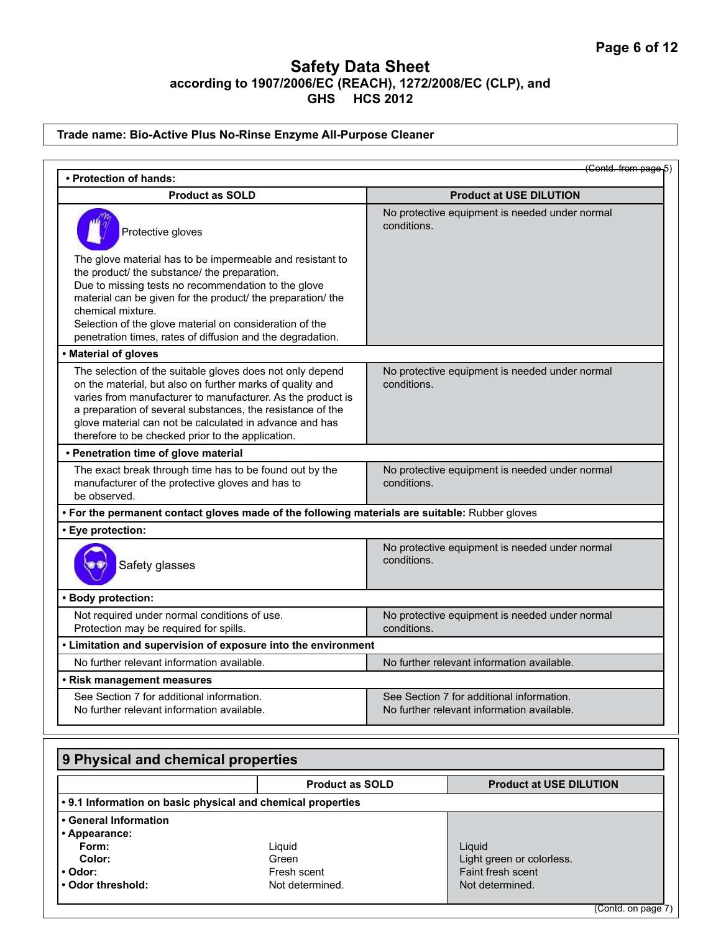### **Trade name: Bio-Active Plus No-Rinse Enzyme All-Purpose Cleaner**

| • Protection of hands:                                                                                                                                                                                                                                                                                                                                                        | (Contd. from page 5)                                                                    |
|-------------------------------------------------------------------------------------------------------------------------------------------------------------------------------------------------------------------------------------------------------------------------------------------------------------------------------------------------------------------------------|-----------------------------------------------------------------------------------------|
| <b>Product as SOLD</b>                                                                                                                                                                                                                                                                                                                                                        | <b>Product at USE DILUTION</b>                                                          |
| Protective gloves                                                                                                                                                                                                                                                                                                                                                             | No protective equipment is needed under normal<br>conditions.                           |
| The glove material has to be impermeable and resistant to<br>the product/ the substance/ the preparation.<br>Due to missing tests no recommendation to the glove<br>material can be given for the product/ the preparation/ the<br>chemical mixture.<br>Selection of the glove material on consideration of the<br>penetration times, rates of diffusion and the degradation. |                                                                                         |
| • Material of gloves                                                                                                                                                                                                                                                                                                                                                          |                                                                                         |
| The selection of the suitable gloves does not only depend<br>on the material, but also on further marks of quality and<br>varies from manufacturer to manufacturer. As the product is<br>a preparation of several substances, the resistance of the<br>glove material can not be calculated in advance and has<br>therefore to be checked prior to the application.           | No protective equipment is needed under normal<br>conditions.                           |
| • Penetration time of glove material                                                                                                                                                                                                                                                                                                                                          |                                                                                         |
| The exact break through time has to be found out by the<br>manufacturer of the protective gloves and has to<br>be observed.                                                                                                                                                                                                                                                   | No protective equipment is needed under normal<br>conditions.                           |
| . For the permanent contact gloves made of the following materials are suitable: Rubber gloves                                                                                                                                                                                                                                                                                |                                                                                         |
| · Eye protection:                                                                                                                                                                                                                                                                                                                                                             |                                                                                         |
| Safety glasses                                                                                                                                                                                                                                                                                                                                                                | No protective equipment is needed under normal<br>conditions.                           |
| • Body protection:                                                                                                                                                                                                                                                                                                                                                            |                                                                                         |
| Not required under normal conditions of use.<br>Protection may be required for spills.                                                                                                                                                                                                                                                                                        | No protective equipment is needed under normal<br>conditions.                           |
| • Limitation and supervision of exposure into the environment                                                                                                                                                                                                                                                                                                                 |                                                                                         |
| No further relevant information available.                                                                                                                                                                                                                                                                                                                                    | No further relevant information available.                                              |
| • Risk management measures                                                                                                                                                                                                                                                                                                                                                    |                                                                                         |
| See Section 7 for additional information.<br>No further relevant information available.                                                                                                                                                                                                                                                                                       | See Section 7 for additional information.<br>No further relevant information available. |

| 9 Physical and chemical properties |                                                             |                                |  |
|------------------------------------|-------------------------------------------------------------|--------------------------------|--|
|                                    | <b>Product as SOLD</b>                                      | <b>Product at USE DILUTION</b> |  |
|                                    | . 9.1 Information on basic physical and chemical properties |                                |  |
| • General Information              |                                                             |                                |  |
| • Appearance:                      |                                                             |                                |  |
| Form:                              | Liguid                                                      | Liquid                         |  |
| Color:                             | Green                                                       | Light green or colorless.      |  |
| • Odor:                            | Fresh scent                                                 | Faint fresh scent              |  |
| . Odor threshold:                  | Not determined.                                             | Not determined.                |  |
|                                    |                                                             |                                |  |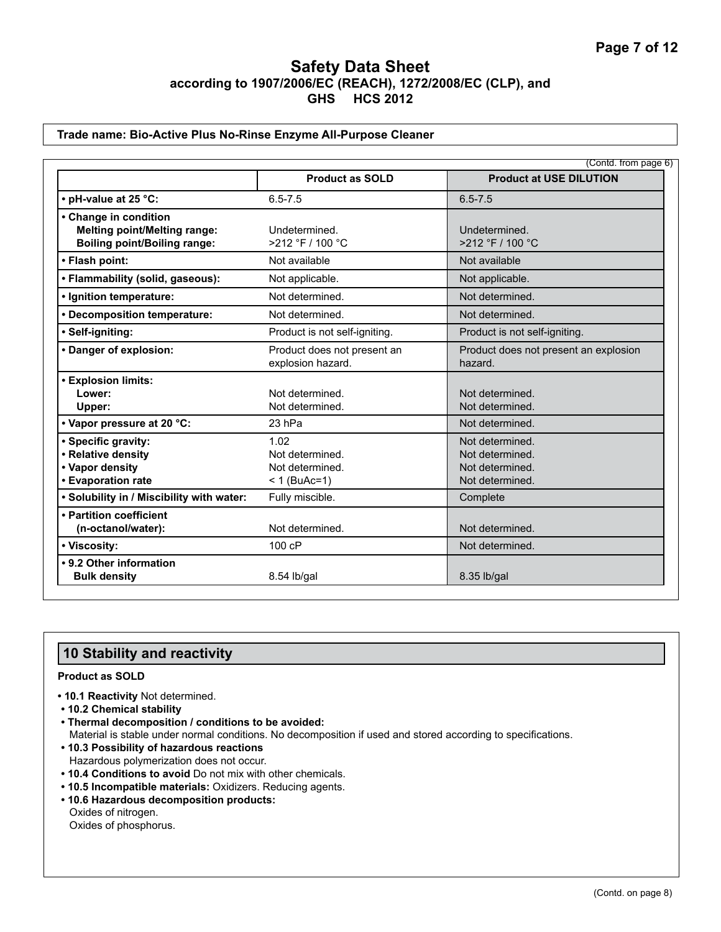#### **Trade name: Bio-Active Plus No-Rinse Enzyme All-Purpose Cleaner**

|                                                                                                                  |                                                                        | (Contd. from page 6)                                                                        |
|------------------------------------------------------------------------------------------------------------------|------------------------------------------------------------------------|---------------------------------------------------------------------------------------------|
|                                                                                                                  | <b>Product as SOLD</b>                                                 | <b>Product at USE DILUTION</b>                                                              |
| • pH-value at 25 °C:                                                                                             | $6.5 - 7.5$                                                            | $6.5 - 7.5$                                                                                 |
| • Change in condition<br><b>Melting point/Melting range:</b><br><b>Boiling point/Boiling range:</b>              | Undetermined.<br>>212 °F / 100 °C                                      | Undetermined.<br>>212 °F / 100 °C                                                           |
| • Flash point:                                                                                                   | Not available                                                          | Not available                                                                               |
| • Flammability (solid, gaseous):                                                                                 | Not applicable.                                                        | Not applicable.                                                                             |
| • Ignition temperature:                                                                                          | Not determined.                                                        | Not determined.                                                                             |
| • Decomposition temperature:                                                                                     | Not determined.                                                        | Not determined.                                                                             |
| · Self-igniting:                                                                                                 | Product is not self-igniting.                                          | Product is not self-igniting.                                                               |
| • Danger of explosion:                                                                                           | Product does not present an<br>explosion hazard.                       | Product does not present an explosion<br>hazard.                                            |
| <b>• Explosion limits:</b><br>Lower:<br>Upper:                                                                   | Not determined.<br>Not determined.                                     | Not determined.<br>Not determined.                                                          |
| • Vapor pressure at 20 °C:<br>• Specific gravity:<br>• Relative density<br>• Vapor density<br>• Evaporation rate | 23 hPa<br>1.02<br>Not determined.<br>Not determined.<br>$< 1$ (BuAc=1) | Not determined.<br>Not determined.<br>Not determined.<br>Not determined.<br>Not determined. |
| . Solubility in / Miscibility with water:                                                                        | Fully miscible.                                                        | Complete                                                                                    |
| • Partition coefficient<br>(n-octanol/water):<br>• Viscosity:                                                    | Not determined.<br>100 cP                                              | Not determined.<br>Not determined.                                                          |
| • 9.2 Other information<br><b>Bulk density</b>                                                                   | 8.54 lb/gal                                                            | 8.35 lb/gal                                                                                 |

### **10 Stability and reactivity**

#### **Product as SOLD**

- **10.1 Reactivity** Not determined.
- **10.2 Chemical stability**
- **Thermal decomposition / conditions to be avoided:** Material is stable under normal conditions. No decomposition if used and stored according to specifications.
- **10.3 Possibility of hazardous reactions** Hazardous polymerization does not occur.
- **10.4 Conditions to avoid** Do not mix with other chemicals.
- **10.5 Incompatible materials:** Oxidizers. Reducing agents.
- **10.6 Hazardous decomposition products:** Oxides of nitrogen. Oxides of phosphorus.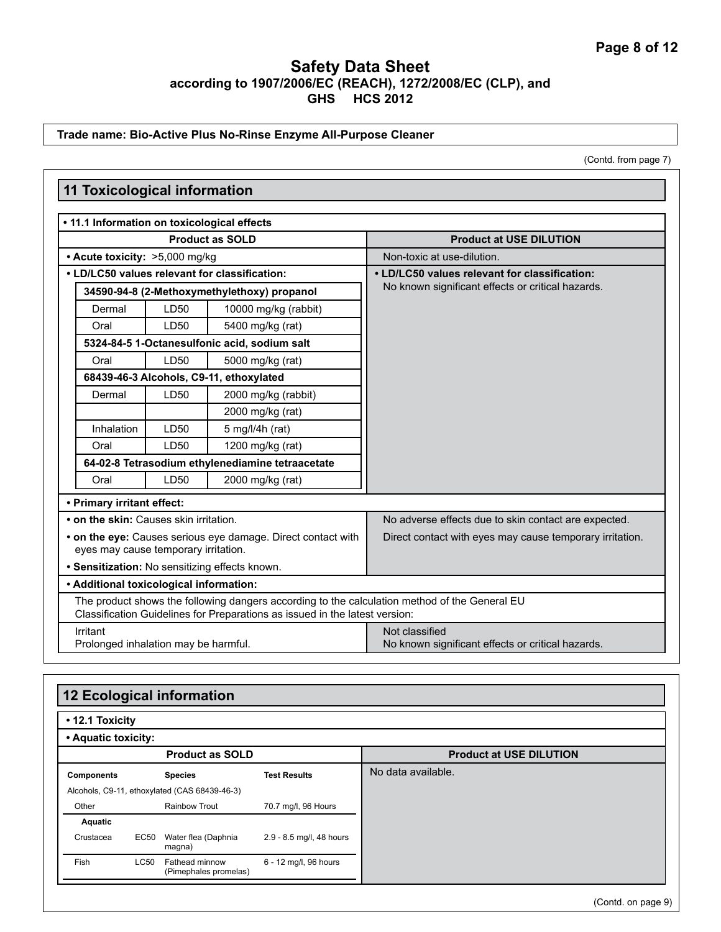### **Trade name: Bio-Active Plus No-Rinse Enzyme All-Purpose Cleaner**

(Contd. from page 7)

|                                                          |      | • 11.1 Information on toxicological effects                                                   |                                                                                                    |
|----------------------------------------------------------|------|-----------------------------------------------------------------------------------------------|----------------------------------------------------------------------------------------------------|
| <b>Product as SOLD</b><br>• Acute toxicity: >5,000 mg/kg |      |                                                                                               | <b>Product at USE DILUTION</b>                                                                     |
|                                                          |      |                                                                                               | Non-toxic at use-dilution.                                                                         |
|                                                          |      | • LD/LC50 values relevant for classification:                                                 | • LD/LC50 values relevant for classification:<br>No known significant effects or critical hazards. |
|                                                          |      | 34590-94-8 (2-Methoxymethylethoxy) propanol                                                   |                                                                                                    |
| Dermal                                                   | LD50 | 10000 mg/kg (rabbit)                                                                          |                                                                                                    |
| Oral                                                     | LD50 | 5400 mg/kg (rat)                                                                              |                                                                                                    |
|                                                          |      | 5324-84-5 1-Octanesulfonic acid, sodium salt                                                  |                                                                                                    |
| Oral                                                     | LD50 | 5000 mg/kg (rat)                                                                              |                                                                                                    |
|                                                          |      | 68439-46-3 Alcohols, C9-11, ethoxylated                                                       |                                                                                                    |
| Dermal                                                   | LD50 | 2000 mg/kg (rabbit)                                                                           |                                                                                                    |
|                                                          |      | 2000 mg/kg (rat)                                                                              |                                                                                                    |
| Inhalation                                               | LD50 | 5 mg/l/4h (rat)                                                                               |                                                                                                    |
| Oral                                                     | LD50 | 1200 mg/kg (rat)                                                                              |                                                                                                    |
|                                                          |      | 64-02-8 Tetrasodium ethylenediamine tetraacetate                                              |                                                                                                    |
| Oral                                                     | LD50 | 2000 mg/kg (rat)                                                                              |                                                                                                    |
| • Primary irritant effect:                               |      |                                                                                               |                                                                                                    |
| • on the skin: Causes skin irritation.                   |      |                                                                                               | No adverse effects due to skin contact are expected.                                               |
|                                                          |      | • on the eye: Causes serious eye damage. Direct contact with                                  | Direct contact with eyes may cause temporary irritation.                                           |
| eyes may cause temporary irritation.                     |      |                                                                                               |                                                                                                    |
| · Sensitization: No sensitizing effects known.           |      |                                                                                               |                                                                                                    |
| • Additional toxicological information:                  |      |                                                                                               |                                                                                                    |
|                                                          |      | The product shows the following dangers according to the calculation method of the General EU |                                                                                                    |
|                                                          |      | Classification Guidelines for Preparations as issued in the latest version:                   |                                                                                                    |
| Irritant<br>Prolonged inhalation may be harmful.         |      |                                                                                               | Not classified<br>No known significant effects or critical hazards.                                |
|                                                          |      |                                                                                               |                                                                                                    |

| • 12.1 Toxicity     |             |                                               |                          |                                |                  |
|---------------------|-------------|-----------------------------------------------|--------------------------|--------------------------------|------------------|
| • Aquatic toxicity: |             |                                               |                          |                                |                  |
|                     |             | <b>Product as SOLD</b>                        |                          | <b>Product at USE DILUTION</b> |                  |
| <b>Components</b>   |             | <b>Species</b>                                | <b>Test Results</b>      | No data available.             |                  |
|                     |             | Alcohols, C9-11, ethoxylated (CAS 68439-46-3) |                          |                                |                  |
| Other               |             | <b>Rainbow Trout</b>                          | 70.7 mg/l, 96 Hours      |                                |                  |
| Aquatic             |             |                                               |                          |                                |                  |
| Crustacea           | <b>EC50</b> | Water flea (Daphnia<br>magna)                 | 2.9 - 8.5 mg/l, 48 hours |                                |                  |
| Fish                | LC50        | Fathead minnow<br>(Pimephales promelas)       | 6 - 12 mg/l, 96 hours    |                                |                  |
|                     |             |                                               |                          |                                | $(C.$ ontd on na |

 $\overline{\phantom{a}}$ 

 $\equiv$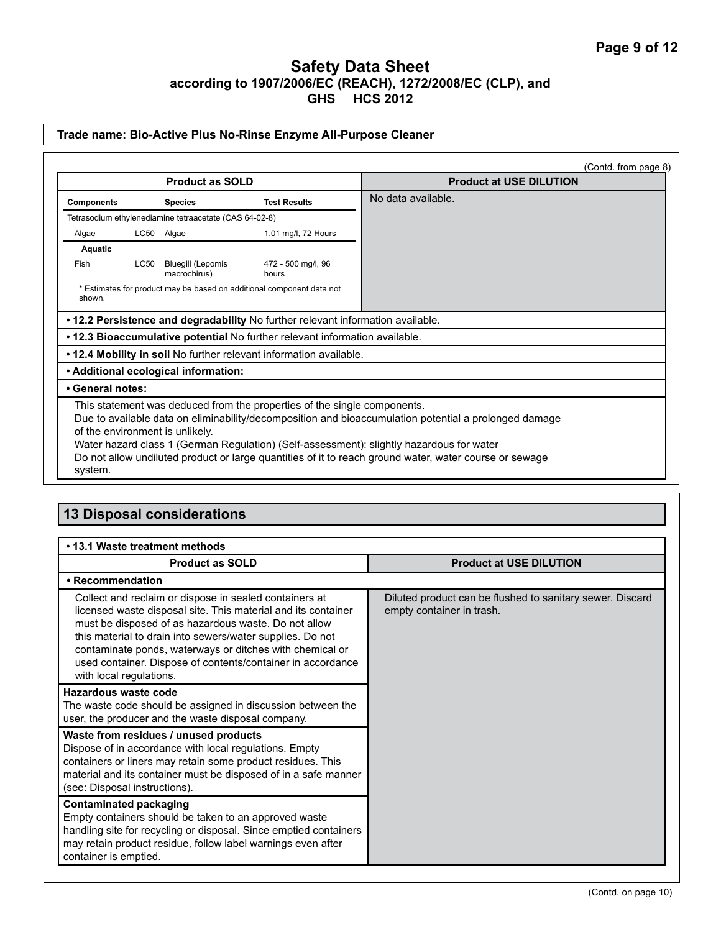#### **Trade name: Bio-Active Plus No-Rinse Enzyme All-Purpose Cleaner**

|                                                                                                                                                                                                                                                                                                                                                                                                                                       |      |                                                        |                                                                       | (Contd. from page 8)           |
|---------------------------------------------------------------------------------------------------------------------------------------------------------------------------------------------------------------------------------------------------------------------------------------------------------------------------------------------------------------------------------------------------------------------------------------|------|--------------------------------------------------------|-----------------------------------------------------------------------|--------------------------------|
|                                                                                                                                                                                                                                                                                                                                                                                                                                       |      | <b>Product as SOLD</b>                                 |                                                                       | <b>Product at USE DILUTION</b> |
| <b>Components</b>                                                                                                                                                                                                                                                                                                                                                                                                                     |      | <b>Species</b>                                         | <b>Test Results</b>                                                   | No data available.             |
|                                                                                                                                                                                                                                                                                                                                                                                                                                       |      | Tetrasodium ethylenediamine tetraacetate (CAS 64-02-8) |                                                                       |                                |
| Algae                                                                                                                                                                                                                                                                                                                                                                                                                                 |      | LC50 Algae                                             | 1.01 mg/l, 72 Hours                                                   |                                |
| Aquatic                                                                                                                                                                                                                                                                                                                                                                                                                               |      |                                                        |                                                                       |                                |
| Fish                                                                                                                                                                                                                                                                                                                                                                                                                                  | LC50 | <b>Bluegill (Lepomis</b><br>macrochirus)               | 472 - 500 mg/l, 96<br>hours                                           |                                |
| shown.                                                                                                                                                                                                                                                                                                                                                                                                                                |      |                                                        | * Estimates for product may be based on additional component data not |                                |
| .12.2 Persistence and degradability No further relevant information available.                                                                                                                                                                                                                                                                                                                                                        |      |                                                        |                                                                       |                                |
| .12.3 Bioaccumulative potential No further relevant information available.                                                                                                                                                                                                                                                                                                                                                            |      |                                                        |                                                                       |                                |
| . 12.4 Mobility in soil No further relevant information available.                                                                                                                                                                                                                                                                                                                                                                    |      |                                                        |                                                                       |                                |
| • Additional ecological information:                                                                                                                                                                                                                                                                                                                                                                                                  |      |                                                        |                                                                       |                                |
| • General notes:                                                                                                                                                                                                                                                                                                                                                                                                                      |      |                                                        |                                                                       |                                |
| This statement was deduced from the properties of the single components.<br>Due to available data on eliminability/decomposition and bioaccumulation potential a prolonged damage<br>of the environment is unlikely.<br>Water hazard class 1 (German Regulation) (Self-assessment): slightly hazardous for water<br>Do not allow undiluted product or large quantities of it to reach ground water, water course or sewage<br>system. |      |                                                        |                                                                       |                                |

# **13 Disposal considerations**

#### **• 13.1 Waste treatment methods**

| <b>Product as SOLD</b>                                                                                                                                                                                                                                                                                                                                                                             | <b>Product at USE DILUTION</b>                                                         |
|----------------------------------------------------------------------------------------------------------------------------------------------------------------------------------------------------------------------------------------------------------------------------------------------------------------------------------------------------------------------------------------------------|----------------------------------------------------------------------------------------|
| • Recommendation                                                                                                                                                                                                                                                                                                                                                                                   |                                                                                        |
| Collect and reclaim or dispose in sealed containers at<br>licensed waste disposal site. This material and its container<br>must be disposed of as hazardous waste. Do not allow<br>this material to drain into sewers/water supplies. Do not<br>contaminate ponds, waterways or ditches with chemical or<br>used container. Dispose of contents/container in accordance<br>with local regulations. | Diluted product can be flushed to sanitary sewer. Discard<br>empty container in trash. |
| Hazardous waste code<br>The waste code should be assigned in discussion between the<br>user, the producer and the waste disposal company.                                                                                                                                                                                                                                                          |                                                                                        |
| Waste from residues / unused products<br>Dispose of in accordance with local regulations. Empty<br>containers or liners may retain some product residues. This<br>material and its container must be disposed of in a safe manner<br>(see: Disposal instructions).                                                                                                                                 |                                                                                        |
| <b>Contaminated packaging</b><br>Empty containers should be taken to an approved waste<br>handling site for recycling or disposal. Since emptied containers<br>may retain product residue, follow label warnings even after<br>container is emptied.                                                                                                                                               |                                                                                        |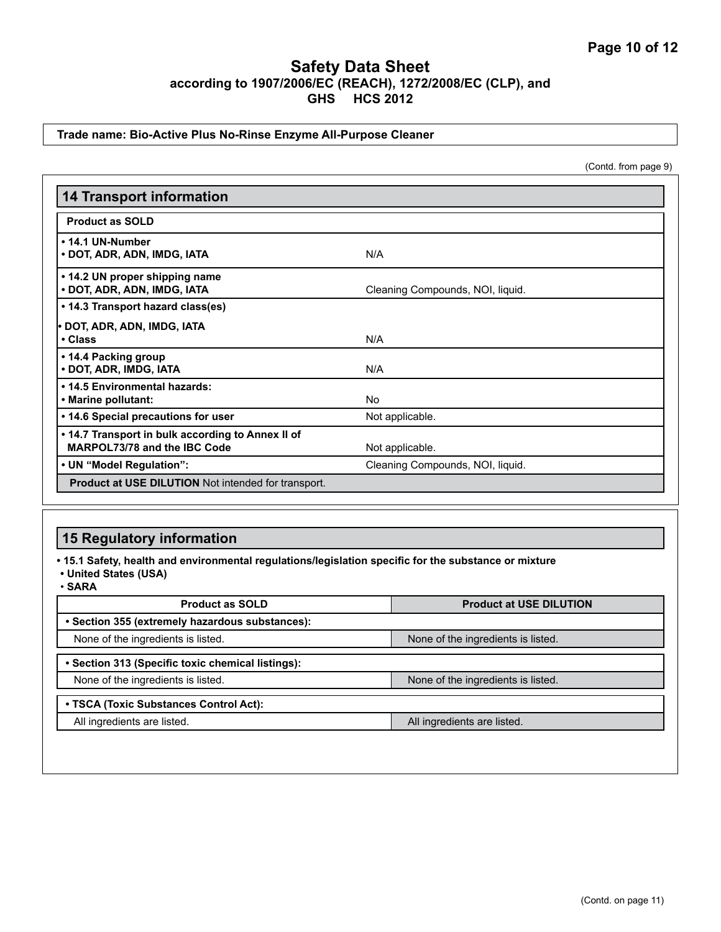#### **Trade name: Bio-Active Plus No-Rinse Enzyme All-Purpose Cleaner**

(Contd. from page 9)

| <b>14 Transport information</b>                                                   |                                  |  |  |
|-----------------------------------------------------------------------------------|----------------------------------|--|--|
| <b>Product as SOLD</b>                                                            |                                  |  |  |
| • 14.1 UN-Number<br>• DOT, ADR, ADN, IMDG, IATA                                   | N/A                              |  |  |
| • 14.2 UN proper shipping name<br>• DOT, ADR, ADN, IMDG, IATA                     | Cleaning Compounds, NOI, liquid. |  |  |
| • 14.3 Transport hazard class(es)<br>• DOT, ADR, ADN, IMDG, IATA<br>• Class       | N/A                              |  |  |
| • 14.4 Packing group<br>• DOT, ADR, IMDG, IATA                                    | N/A                              |  |  |
| • 14.5 Environmental hazards:<br>• Marine pollutant:                              | No                               |  |  |
| • 14.6 Special precautions for user                                               | Not applicable.                  |  |  |
| • 14.7 Transport in bulk according to Annex II of<br>MARPOL73/78 and the IBC Code | Not applicable.                  |  |  |
| • UN "Model Regulation":                                                          | Cleaning Compounds, NOI, liquid. |  |  |
| Product at USE DILUTION Not intended for transport.                               |                                  |  |  |

### **15 Regulatory information**

**• 15.1 Safety, health and environmental regulations/legislation specific for the substance or mixture**

- **United States (USA)**
- **SARA**

| <b>Product as SOLD</b>                            | <b>Product at USE DILUTION</b>     |  |  |  |
|---------------------------------------------------|------------------------------------|--|--|--|
| • Section 355 (extremely hazardous substances):   |                                    |  |  |  |
| None of the ingredients is listed.                | None of the ingredients is listed. |  |  |  |
| • Section 313 (Specific toxic chemical listings): |                                    |  |  |  |
| None of the ingredients is listed.                | None of the ingredients is listed. |  |  |  |
| • TSCA (Toxic Substances Control Act):            |                                    |  |  |  |
| All ingredients are listed.                       | All ingredients are listed.        |  |  |  |
|                                                   |                                    |  |  |  |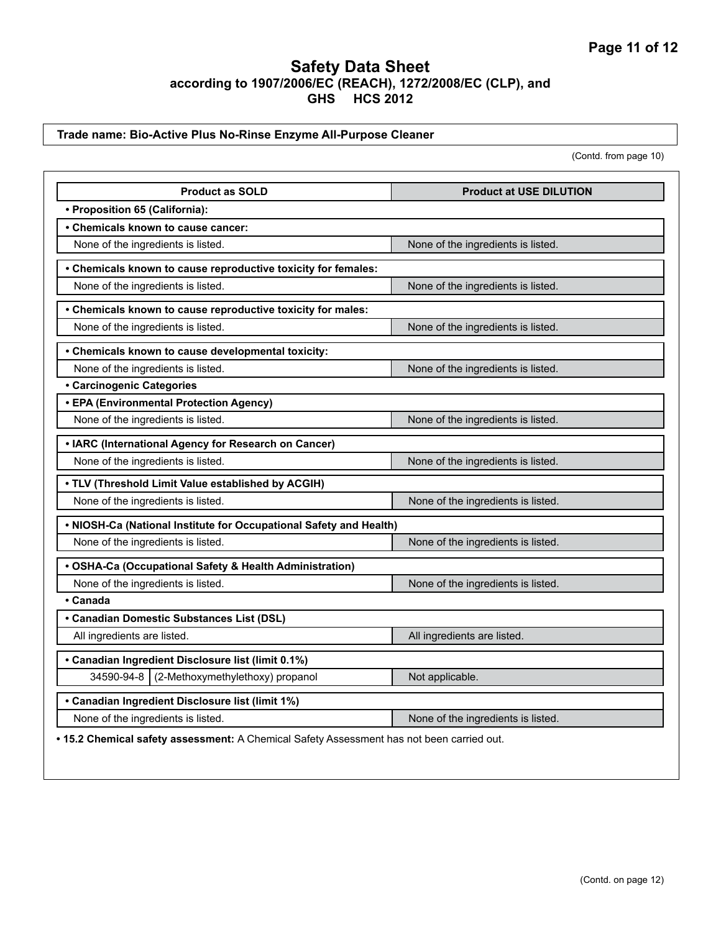#### **Trade name: Bio-Active Plus No-Rinse Enzyme All-Purpose Cleaner**

(Contd. from page 10)

| <b>Product as SOLD</b>                                                                    | <b>Product at USE DILUTION</b>     |  |  |  |
|-------------------------------------------------------------------------------------------|------------------------------------|--|--|--|
| • Proposition 65 (California):                                                            |                                    |  |  |  |
| • Chemicals known to cause cancer:                                                        |                                    |  |  |  |
| None of the ingredients is listed.                                                        | None of the ingredients is listed. |  |  |  |
| • Chemicals known to cause reproductive toxicity for females:                             |                                    |  |  |  |
| None of the ingredients is listed.                                                        | None of the ingredients is listed. |  |  |  |
| • Chemicals known to cause reproductive toxicity for males:                               |                                    |  |  |  |
| None of the ingredients is listed.                                                        | None of the ingredients is listed. |  |  |  |
| • Chemicals known to cause developmental toxicity:                                        |                                    |  |  |  |
| None of the ingredients is listed.                                                        | None of the ingredients is listed. |  |  |  |
| <b>· Carcinogenic Categories</b>                                                          |                                    |  |  |  |
| • EPA (Environmental Protection Agency)                                                   |                                    |  |  |  |
| None of the ingredients is listed.                                                        | None of the ingredients is listed. |  |  |  |
| • IARC (International Agency for Research on Cancer)                                      |                                    |  |  |  |
| None of the ingredients is listed.                                                        | None of the ingredients is listed. |  |  |  |
| . TLV (Threshold Limit Value established by ACGIH)                                        |                                    |  |  |  |
| None of the ingredients is listed.                                                        | None of the ingredients is listed. |  |  |  |
| . NIOSH-Ca (National Institute for Occupational Safety and Health)                        |                                    |  |  |  |
| None of the ingredients is listed.                                                        | None of the ingredients is listed. |  |  |  |
| · OSHA-Ca (Occupational Safety & Health Administration)                                   |                                    |  |  |  |
| None of the ingredients is listed.                                                        | None of the ingredients is listed. |  |  |  |
| • Canada                                                                                  |                                    |  |  |  |
| • Canadian Domestic Substances List (DSL)                                                 |                                    |  |  |  |
| All ingredients are listed.                                                               | All ingredients are listed.        |  |  |  |
| • Canadian Ingredient Disclosure list (limit 0.1%)                                        |                                    |  |  |  |
| (2-Methoxymethylethoxy) propanol<br>34590-94-8                                            | Not applicable.                    |  |  |  |
| • Canadian Ingredient Disclosure list (limit 1%)                                          |                                    |  |  |  |
| None of the ingredients is listed.                                                        | None of the ingredients is listed. |  |  |  |
| . 15.2 Chemical safety assessment: A Chemical Safety Assessment has not been carried out. |                                    |  |  |  |